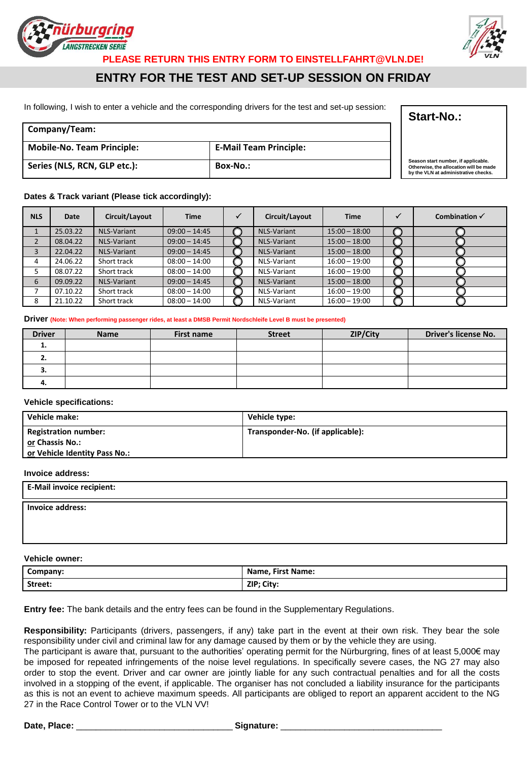



**PLEASE RETURN THIS ENTRY FORM TO EINSTELLFAHRT@VLN.DE!** 

## **ENTRY FOR THE TEST AND SET-UP SESSION ON FRIDAY**

In following, I wish to enter a vehicle and the corresponding drivers for the test and set-up session:

## **Company/Team: Mobile-No. Team Principle: E-Mail Team Principle: Series (NLS, RCN, GLP etc.): Box-No.: Season start number, if applicable.**

#### **Dates & Track variant (Please tick accordingly):**

| <b>NLS</b> | Date     | Circuit/Layout     | <b>Time</b>     | Circuit/Layout     | <b>Time</b>     | ✓ | Combination $\checkmark$ |
|------------|----------|--------------------|-----------------|--------------------|-----------------|---|--------------------------|
|            | 25.03.22 | <b>NLS-Variant</b> | $09:00 - 14:45$ | NLS-Variant        | $15:00 - 18:00$ |   |                          |
| 2          | 08.04.22 | NLS-Variant        | $09:00 - 14:45$ | <b>NLS-Variant</b> | $15:00 - 18:00$ |   |                          |
| 3          | 22.04.22 | NLS-Variant        | $09:00 - 14:45$ | NLS-Variant        | $15:00 - 18:00$ |   |                          |
|            | 24.06.22 | Short track        | $08:00 - 14:00$ | NLS-Variant        | $16:00 - 19:00$ |   |                          |
|            | 08.07.22 | Short track        | $08:00 - 14:00$ | NLS-Variant        | $16:00 - 19:00$ |   |                          |
| 6          | 09.09.22 | NLS-Variant        | $09:00 - 14:45$ | <b>NLS-Variant</b> | $15:00 - 18:00$ |   |                          |
|            | 07.10.22 | Short track        | $08:00 - 14:00$ | NLS-Variant        | $16:00 - 19:00$ |   |                          |
| 8          | 21.10.22 | Short track        | $08:00 - 14:00$ | NLS-Variant        | $16:00 - 19:00$ |   |                          |

#### **Driver (Note: When performing passenger rides, at least a DMSB Permit Nordschleife Level B must be presented)**

| <b>Driver</b> | <b>Name</b> | First name | <b>Street</b> | ZIP/City | Driver's license No. |
|---------------|-------------|------------|---------------|----------|----------------------|
|               |             |            |               |          |                      |
| <u></u>       |             |            |               |          |                      |
| J.            |             |            |               |          |                      |
| 4.            |             |            |               |          |                      |

#### **Vehicle specifications:**

| Vehicle make:                                  | Vehicle type:                    |
|------------------------------------------------|----------------------------------|
| <b>Registration number:</b><br>or Chassis No.: | Transponder-No. (if applicable): |
| or Vehicle Identity Pass No.:                  |                                  |

#### **Invoice address:**

| E-Mail invoice recipient: |  |
|---------------------------|--|
| Invoice address:          |  |
|                           |  |

### **Vehicle owner:**

| Company: | First Name:<br>Name, |
|----------|----------------------|
| Street:  | ZIP; City:           |

**Entry fee:** The bank details and the entry fees can be found in the Supplementary Regulations.

**Responsibility:** Participants (drivers, passengers, if any) take part in the event at their own risk. They bear the sole responsibility under civil and criminal law for any damage caused by them or by the vehicle they are using.

The participant is aware that, pursuant to the authorities' operating permit for the Nürburgring, fines of at least 5,000€ may be imposed for repeated infringements of the noise level regulations. In specifically severe cases, the NG 27 may also order to stop the event. Driver and car owner are jointly liable for any such contractual penalties and for all the costs involved in a stopping of the event, if applicable. The organiser has not concluded a liability insurance for the participants as this is not an event to achieve maximum speeds. All participants are obliged to report an apparent accident to the NG 27 in the Race Control Tower or to the VLN VV!

**Date, Place:** \_\_\_\_\_\_\_\_\_\_\_\_\_\_\_\_\_\_\_\_\_\_\_\_\_\_\_\_\_\_\_\_ **Signature:** \_\_\_\_\_\_\_\_\_\_\_\_\_\_\_\_\_\_\_\_\_\_\_\_\_\_\_\_\_\_\_\_\_

**Start-No.:** 

**Otherwise, the allocation will be made by the VLN at administrative checks.**